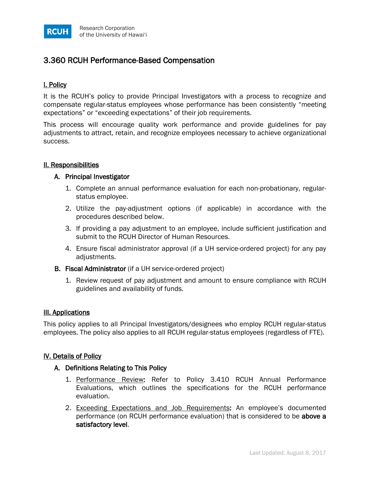

# 3.360 RCUH Performance-Based Compensation

## I. Policy

It is the RCUH's policy to provide Principal Investigators with a process to recognize and compensate regular-status employees whose performance has been consistently "meeting expectations" or "exceeding expectations" of their job requirements.

This process will encourage quality work performance and provide guidelines for pay adjustments to attract, retain, and recognize employees necessary to achieve organizational success.

## II. Responsibilities

#### A. Principal Investigator

- 1. Complete an annual performance evaluation for each non-probationary, regularstatus employee.
- 2. Utilize the pay-adjustment options (if applicable) in accordance with the procedures described below.
- 3. If providing a pay adjustment to an employee, include sufficient justification and submit to the RCUH Director of Human Resources.
- 4. Ensure fiscal administrator approval (if a UH service-ordered project) for any pay adjustments.
- B. Fiscal Administrator (if a UH service-ordered project)
	- 1. Review request of pay adjustment and amount to ensure compliance with RCUH guidelines and availability of funds.

#### III. Applications

This policy applies to all Principal Investigators/designees who employ RCUH regular-status employees. The policy also applies to all RCUH regular-status employees (regardless of FTE).

## IV. Details of Policy

#### A. Definitions Relating to This Policy

- 1. Performance Review: Refer to Policy 3.410 RCUH Annual Performance Evaluations, which outlines the specifications for the RCUH performance evaluation.
- 2. Exceeding Expectations and Job Requirements: An employee's documented performance (on RCUH performance evaluation) that is considered to be above a satisfactory level.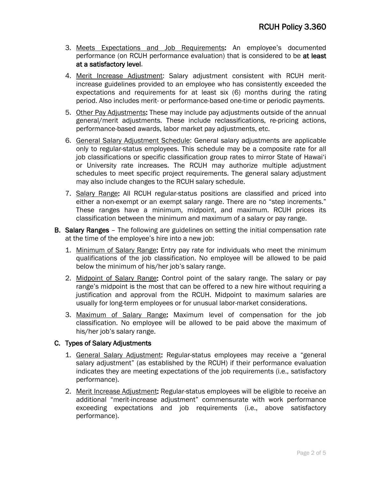- 3. Meets Expectations and Job Requirements: An employee's documented performance (on RCUH performance evaluation) that is considered to be at least at a satisfactory level.
- 4. Merit Increase Adjustment: Salary adjustment consistent with RCUH meritincrease guidelines provided to an employee who has consistently exceeded the expectations and requirements for at least six (6) months during the rating period. Also includes merit- or performance-based one-time or periodic payments.
- 5. Other Pay Adjustments: These may include pay adjustments outside of the annual general/merit adjustments. These include reclassifications, re-pricing actions, performance-based awards, labor market pay adjustments, etc.
- 6. General Salary Adjustment Schedule: General salary adjustments are applicable only to regular-status employees. This schedule may be a composite rate for all job classifications or specific classification group rates to mirror State of Hawai'i or University rate increases. The RCUH may authorize multiple adjustment schedules to meet specific project requirements. The general salary adjustment may also include changes to the RCUH salary schedule.
- 7. Salary Range: All RCUH regular-status positions are classified and priced into either a non-exempt or an exempt salary range. There are no "step increments." These ranges have a minimum, midpoint, and maximum. RCUH prices its classification between the minimum and maximum of a salary or pay range.
- **B. Salary Ranges** The following are guidelines on setting the initial compensation rate at the time of the employee's hire into a new job:
	- 1. Minimum of Salary Range: Entry pay rate for individuals who meet the minimum qualifications of the job classification. No employee will be allowed to be paid below the minimum of his/her job's salary range.
	- 2. Midpoint of Salary Range: Control point of the salary range. The salary or pay range's midpoint is the most that can be offered to a new hire without requiring a justification and approval from the RCUH. Midpoint to maximum salaries are usually for long-term employees or for unusual labor-market considerations.
	- 3. Maximum of Salary Range: Maximum level of compensation for the job classification. No employee will be allowed to be paid above the maximum of his/her job's salary range.

## C. Types of Salary Adjustments

- 1. General Salary Adjustment: Regular-status employees may receive a "general salary adjustment" (as established by the RCUH) if their performance evaluation indicates they are meeting expectations of the job requirements (i.e., satisfactory performance).
- 2. Merit Increase Adjustment: Regular-status employees will be eligible to receive an additional "merit-increase adjustment" commensurate with work performance exceeding expectations and job requirements (i.e., above satisfactory performance).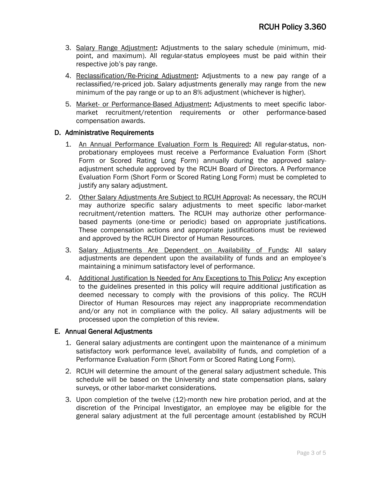- 3. Salary Range Adjustment: Adjustments to the salary schedule (minimum, midpoint, and maximum). All regular-status employees must be paid within their respective job's pay range.
- 4. Reclassification/Re-Pricing Adjustment: Adjustments to a new pay range of a reclassified/re-priced job. Salary adjustments generally may range from the new minimum of the pay range or up to an 8% adjustment (whichever is higher).
- 5. Market- or Performance-Based Adjustment: Adjustments to meet specific labormarket recruitment/retention requirements or other performance-based compensation awards.

## D. Administrative Requirements

- 1. An Annual Performance Evaluation Form Is Required: All regular-status, nonprobationary employees must receive a Performance Evaluation Form (Short Form or Scored Rating Long Form) annually during the approved salaryadjustment schedule approved by the RCUH Board of Directors. A Performance Evaluation Form (Short Form or Scored Rating Long Form) must be completed to justify any salary adjustment.
- 2. Other Salary Adjustments Are Subject to RCUH Approval: As necessary, the RCUH may authorize specific salary adjustments to meet specific labor-market recruitment/retention matters. The RCUH may authorize other performancebased payments (one-time or periodic) based on appropriate justifications. These compensation actions and appropriate justifications must be reviewed and approved by the RCUH Director of Human Resources.
- 3. Salary Adjustments Are Dependent on Availability of Funds: All salary adjustments are dependent upon the availability of funds and an employee's maintaining a minimum satisfactory level of performance.
- 4. Additional Justification Is Needed for Any Exceptions to This Policy: Any exception to the guidelines presented in this policy will require additional justification as deemed necessary to comply with the provisions of this policy. The RCUH Director of Human Resources may reject any inappropriate recommendation and/or any not in compliance with the policy. All salary adjustments will be processed upon the completion of this review.

## E. Annual General Adjustments

- 1. General salary adjustments are contingent upon the maintenance of a minimum satisfactory work performance level, availability of funds, and completion of a Performance Evaluation Form (Short Form or Scored Rating Long Form).
- 2. RCUH will determine the amount of the general salary adjustment schedule. This schedule will be based on the University and state compensation plans, salary surveys, or other labor-market considerations.
- 3. Upon completion of the twelve (12)-month new hire probation period, and at the discretion of the Principal Investigator, an employee may be eligible for the general salary adjustment at the full percentage amount (established by RCUH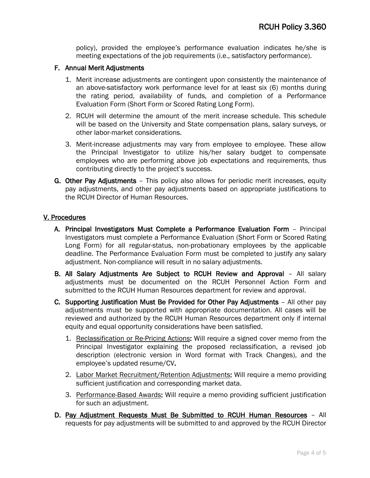policy), provided the employee's performance evaluation indicates he/she is meeting expectations of the job requirements (i.e., satisfactory performance).

#### F. Annual Merit Adjustments

- 1. Merit increase adjustments are contingent upon consistently the maintenance of an above-satisfactory work performance level for at least six (6) months during the rating period, availability of funds, and completion of a Performance Evaluation Form (Short Form or Scored Rating Long Form).
- 2. RCUH will determine the amount of the merit increase schedule. This schedule will be based on the University and State compensation plans, salary surveys, or other labor-market considerations.
- 3. Merit-increase adjustments may vary from employee to employee. These allow the Principal Investigator to utilize his/her salary budget to compensate employees who are performing above job expectations and requirements, thus contributing directly to the project's success.
- G. Other Pay Adjustments This policy also allows for periodic merit increases, equity pay adjustments, and other pay adjustments based on appropriate justifications to the RCUH Director of Human Resources.

## V. Procedures

- A. Principal Investigators Must Complete a Performance Evaluation Form Principal Investigators must complete a Performance Evaluation (Short Form or Scored Rating Long Form) for all regular-status, non-probationary employees by the applicable deadline. The Performance Evaluation Form must be completed to justify any salary adjustment. Non-compliance will result in no salary adjustments.
- B. All Salary Adjustments Are Subject to RCUH Review and Approval All salary adjustments must be documented on the RCUH Personnel Action Form and submitted to the RCUH Human Resources department for review and approval.
- C. Supporting Justification Must Be Provided for Other Pay Adjustments All other pay adjustments must be supported with appropriate documentation. All cases will be reviewed and authorized by the RCUH Human Resources department only if internal equity and equal opportunity considerations have been satisfied.
	- 1. Reclassification or Re-Pricing Actions: Will require a signed cover memo from the Principal Investigator explaining the proposed reclassification, a revised job description (electronic version in Word format with Track Changes), and the employee's updated resume/CV.
	- 2. Labor Market Recruitment/Retention Adjustments: Will require a memo providing sufficient justification and corresponding market data.
	- 3. Performance-Based Awards: Will require a memo providing sufficient justification for such an adjustment.
- D. Pay Adjustment Requests Must Be Submitted to RCUH Human Resources All requests for pay adjustments will be submitted to and approved by the RCUH Director